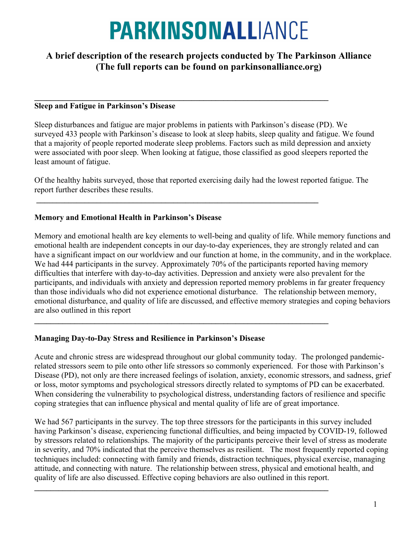# **PARKINSONALLIANCE**

# A brief description of the research projects conducted by The Parkinson Alliance (The full reports can be found on parkinsonalliance.org)

#### $\_$ Sleep and Fatigue in Parkinson's Disease

Sleep disturbances and fatigue are major problems in patients with Parkinson's disease (PD). We surveyed 433 people with Parkinson's disease to look at sleep habits, sleep quality and fatigue. We found that a majority of people reported moderate sleep problems. Factors such as mild depression and anxiety were associated with poor sleep. When looking at fatigue, those classified as good sleepers reported the least amount of fatigue.

Of the healthy habits surveyed, those that reported exercising daily had the lowest reported fatigue. The report further describes these results.

 $\mathcal{L}_\text{max} = \mathcal{L}_\text{max} = \mathcal{L}_\text{max} = \mathcal{L}_\text{max} = \mathcal{L}_\text{max} = \mathcal{L}_\text{max} = \mathcal{L}_\text{max} = \mathcal{L}_\text{max} = \mathcal{L}_\text{max} = \mathcal{L}_\text{max} = \mathcal{L}_\text{max} = \mathcal{L}_\text{max} = \mathcal{L}_\text{max} = \mathcal{L}_\text{max} = \mathcal{L}_\text{max} = \mathcal{L}_\text{max} = \mathcal{L}_\text{max} = \mathcal{L}_\text{max} = \mathcal{$ 

 $\_$ 

 $\mathcal{L}_\text{max} = \mathcal{L}_\text{max} = \mathcal{L}_\text{max} = \mathcal{L}_\text{max} = \mathcal{L}_\text{max} = \mathcal{L}_\text{max} = \mathcal{L}_\text{max} = \mathcal{L}_\text{max} = \mathcal{L}_\text{max} = \mathcal{L}_\text{max} = \mathcal{L}_\text{max} = \mathcal{L}_\text{max} = \mathcal{L}_\text{max} = \mathcal{L}_\text{max} = \mathcal{L}_\text{max} = \mathcal{L}_\text{max} = \mathcal{L}_\text{max} = \mathcal{L}_\text{max} = \mathcal{$ 

# Memory and Emotional Health in Parkinson's Disease

Memory and emotional health are key elements to well-being and quality of life. While memory functions and emotional health are independent concepts in our day-to-day experiences, they are strongly related and can have a significant impact on our worldview and our function at home, in the community, and in the workplace. We had 444 participants in the survey. Approximately 70% of the participants reported having memory difficulties that interfere with day-to-day activities. Depression and anxiety were also prevalent for the participants, and individuals with anxiety and depression reported memory problems in far greater frequency than those individuals who did not experience emotional disturbance. The relationship between memory, emotional disturbance, and quality of life are discussed, and effective memory strategies and coping behaviors are also outlined in this report

## Managing Day-to-Day Stress and Resilience in Parkinson's Disease

Acute and chronic stress are widespread throughout our global community today. The prolonged pandemicrelated stressors seem to pile onto other life stressors so commonly experienced. For those with Parkinson's Disease (PD), not only are there increased feelings of isolation, anxiety, economic stressors, and sadness, grief or loss, motor symptoms and psychological stressors directly related to symptoms of PD can be exacerbated. When considering the vulnerability to psychological distress, understanding factors of resilience and specific coping strategies that can influence physical and mental quality of life are of great importance.

We had 567 participants in the survey. The top three stressors for the participants in this survey included having Parkinson's disease, experiencing functional difficulties, and being impacted by COVID-19, followed by stressors related to relationships. The majority of the participants perceive their level of stress as moderate in severity, and 70% indicated that the perceive themselves as resilient. The most frequently reported coping techniques included: connecting with family and friends, distraction techniques, physical exercise, managing attitude, and connecting with nature. The relationship between stress, physical and emotional health, and quality of life are also discussed. Effective coping behaviors are also outlined in this report.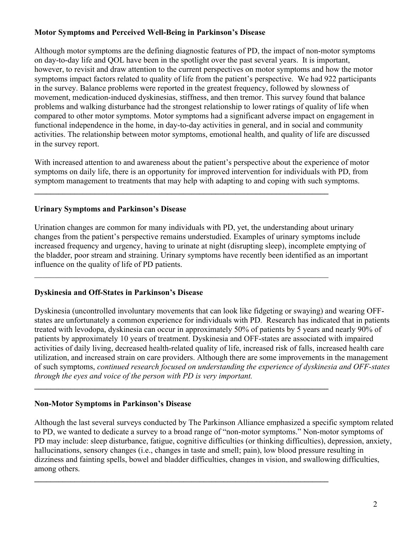# Motor Symptoms and Perceived Well-Being in Parkinson's Disease

Although motor symptoms are the defining diagnostic features of PD, the impact of non-motor symptoms on day-to-day life and QOL have been in the spotlight over the past several years. It is important, however, to revisit and draw attention to the current perspectives on motor symptoms and how the motor symptoms impact factors related to quality of life from the patient's perspective. We had 922 participants in the survey. Balance problems were reported in the greatest frequency, followed by slowness of movement, medication-induced dyskinesias, stiffness, and then tremor. This survey found that balance problems and walking disturbance had the strongest relationship to lower ratings of quality of life when compared to other motor symptoms. Motor symptoms had a significant adverse impact on engagement in functional independence in the home, in day-to-day activities in general, and in social and community activities. The relationship between motor symptoms, emotional health, and quality of life are discussed in the survey report.

With increased attention to and awareness about the patient's perspective about the experience of motor symptoms on daily life, there is an opportunity for improved intervention for individuals with PD, from symptom management to treatments that may help with adapting to and coping with such symptoms.

 $\_$ 

## Urinary Symptoms and Parkinson's Disease

Urination changes are common for many individuals with PD, yet, the understanding about urinary changes from the patient's perspective remains understudied. Examples of urinary symptoms include increased frequency and urgency, having to urinate at night (disrupting sleep), incomplete emptying of the bladder, poor stream and straining. Urinary symptoms have recently been identified as an important influence on the quality of life of PD patients.

#### Dyskinesia and Off-States in Parkinson's Disease

Dyskinesia (uncontrolled involuntary movements that can look like fidgeting or swaying) and wearing OFFstates are unfortunately a common experience for individuals with PD. Research has indicated that in patients treated with levodopa, dyskinesia can occur in approximately 50% of patients by 5 years and nearly 90% of patients by approximately 10 years of treatment. Dyskinesia and OFF-states are associated with impaired activities of daily living, decreased health-related quality of life, increased risk of falls, increased health care utilization, and increased strain on care providers. Although there are some improvements in the management of such symptoms, continued research focused on understanding the experience of dyskinesia and OFF-states through the eyes and voice of the person with PD is very important.

 $\_$ 

 $\_$ 

#### Non-Motor Symptoms in Parkinson's Disease

Although the last several surveys conducted by The Parkinson Alliance emphasized a specific symptom related to PD, we wanted to dedicate a survey to a broad range of "non-motor symptoms." Non-motor symptoms of PD may include: sleep disturbance, fatigue, cognitive difficulties (or thinking difficulties), depression, anxiety, hallucinations, sensory changes (i.e., changes in taste and smell; pain), low blood pressure resulting in dizziness and fainting spells, bowel and bladder difficulties, changes in vision, and swallowing difficulties, among others.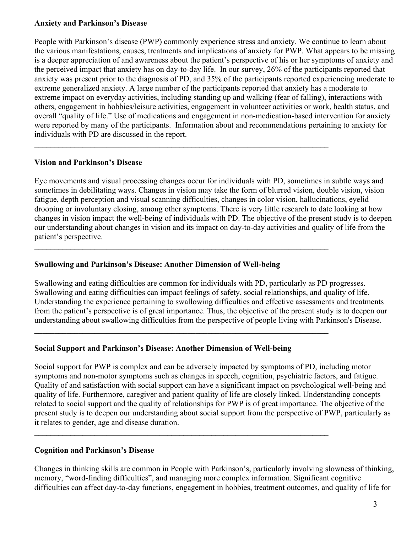#### Anxiety and Parkinson's Disease

People with Parkinson's disease (PWP) commonly experience stress and anxiety. We continue to learn about the various manifestations, causes, treatments and implications of anxiety for PWP. What appears to be missing is a deeper appreciation of and awareness about the patient's perspective of his or her symptoms of anxiety and the perceived impact that anxiety has on day-to-day life. In our survey, 26% of the participants reported that anxiety was present prior to the diagnosis of PD, and 35% of the participants reported experiencing moderate to extreme generalized anxiety. A large number of the participants reported that anxiety has a moderate to extreme impact on everyday activities, including standing up and walking (fear of falling), interactions with others, engagement in hobbies/leisure activities, engagement in volunteer activities or work, health status, and overall "quality of life." Use of medications and engagement in non-medication-based intervention for anxiety were reported by many of the participants. Information about and recommendations pertaining to anxiety for individuals with PD are discussed in the report.

 $\_$ 

 $\_$ 

 $\_$ 

 $\_$ 

# Vision and Parkinson's Disease

Eye movements and visual processing changes occur for individuals with PD, sometimes in subtle ways and sometimes in debilitating ways. Changes in vision may take the form of blurred vision, double vision, vision fatigue, depth perception and visual scanning difficulties, changes in color vision, hallucinations, eyelid drooping or involuntary closing, among other symptoms. There is very little research to date looking at how changes in vision impact the well-being of individuals with PD. The objective of the present study is to deepen our understanding about changes in vision and its impact on day-to-day activities and quality of life from the patient's perspective.

## Swallowing and Parkinson's Disease: Another Dimension of Well-being

Swallowing and eating difficulties are common for individuals with PD, particularly as PD progresses. Swallowing and eating difficulties can impact feelings of safety, social relationships, and quality of life. Understanding the experience pertaining to swallowing difficulties and effective assessments and treatments from the patient's perspective is of great importance. Thus, the objective of the present study is to deepen our understanding about swallowing difficulties from the perspective of people living with Parkinson's Disease.

## Social Support and Parkinson's Disease: Another Dimension of Well-being

Social support for PWP is complex and can be adversely impacted by symptoms of PD, including motor symptoms and non-motor symptoms such as changes in speech, cognition, psychiatric factors, and fatigue. Quality of and satisfaction with social support can have a significant impact on psychological well-being and quality of life. Furthermore, caregiver and patient quality of life are closely linked. Understanding concepts related to social support and the quality of relationships for PWP is of great importance. The objective of the present study is to deepen our understanding about social support from the perspective of PWP, particularly as it relates to gender, age and disease duration.

# Cognition and Parkinson's Disease

Changes in thinking skills are common in People with Parkinson's, particularly involving slowness of thinking, memory, "word-finding difficulties", and managing more complex information. Significant cognitive difficulties can affect day-to-day functions, engagement in hobbies, treatment outcomes, and quality of life for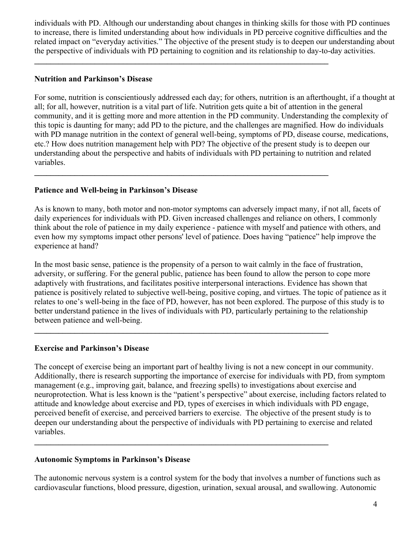individuals with PD. Although our understanding about changes in thinking skills for those with PD continues to increase, there is limited understanding about how individuals in PD perceive cognitive difficulties and the related impact on "everyday activities." The objective of the present study is to deepen our understanding about the perspective of individuals with PD pertaining to cognition and its relationship to day-to-day activities.

 $\_$ 

 $\mathcal{L}_\text{max} = \mathcal{L}_\text{max} = \mathcal{L}_\text{max} = \mathcal{L}_\text{max} = \mathcal{L}_\text{max} = \mathcal{L}_\text{max} = \mathcal{L}_\text{max} = \mathcal{L}_\text{max} = \mathcal{L}_\text{max} = \mathcal{L}_\text{max} = \mathcal{L}_\text{max} = \mathcal{L}_\text{max} = \mathcal{L}_\text{max} = \mathcal{L}_\text{max} = \mathcal{L}_\text{max} = \mathcal{L}_\text{max} = \mathcal{L}_\text{max} = \mathcal{L}_\text{max} = \mathcal{$ 

 $\_$ 

 $\mathcal{L}_\text{max} = \mathcal{L}_\text{max} = \mathcal{L}_\text{max} = \mathcal{L}_\text{max} = \mathcal{L}_\text{max} = \mathcal{L}_\text{max} = \mathcal{L}_\text{max} = \mathcal{L}_\text{max} = \mathcal{L}_\text{max} = \mathcal{L}_\text{max} = \mathcal{L}_\text{max} = \mathcal{L}_\text{max} = \mathcal{L}_\text{max} = \mathcal{L}_\text{max} = \mathcal{L}_\text{max} = \mathcal{L}_\text{max} = \mathcal{L}_\text{max} = \mathcal{L}_\text{max} = \mathcal{$ 

## Nutrition and Parkinson's Disease

For some, nutrition is conscientiously addressed each day; for others, nutrition is an afterthought, if a thought at all; for all, however, nutrition is a vital part of life. Nutrition gets quite a bit of attention in the general community, and it is getting more and more attention in the PD community. Understanding the complexity of this topic is daunting for many; add PD to the picture, and the challenges are magnified. How do individuals with PD manage nutrition in the context of general well-being, symptoms of PD, disease course, medications, etc.? How does nutrition management help with PD? The objective of the present study is to deepen our understanding about the perspective and habits of individuals with PD pertaining to nutrition and related variables.

# Patience and Well-being in Parkinson's Disease

As is known to many, both motor and non-motor symptoms can adversely impact many, if not all, facets of daily experiences for individuals with PD. Given increased challenges and reliance on others, I commonly think about the role of patience in my daily experience - patience with myself and patience with others, and even how my symptoms impact other persons' level of patience. Does having "patience" help improve the experience at hand?

In the most basic sense, patience is the propensity of a person to wait calmly in the face of frustration, adversity, or suffering. For the general public, patience has been found to allow the person to cope more adaptively with frustrations, and facilitates positive interpersonal interactions. Evidence has shown that patience is positively related to subjective well-being, positive coping, and virtues. The topic of patience as it relates to one's well-being in the face of PD, however, has not been explored. The purpose of this study is to better understand patience in the lives of individuals with PD, particularly pertaining to the relationship between patience and well-being.

# Exercise and Parkinson's Disease

The concept of exercise being an important part of healthy living is not a new concept in our community. Additionally, there is research supporting the importance of exercise for individuals with PD, from symptom management (e.g., improving gait, balance, and freezing spells) to investigations about exercise and neuroprotection. What is less known is the "patient's perspective" about exercise, including factors related to attitude and knowledge about exercise and PD, types of exercises in which individuals with PD engage, perceived benefit of exercise, and perceived barriers to exercise. The objective of the present study is to deepen our understanding about the perspective of individuals with PD pertaining to exercise and related variables.

# Autonomic Symptoms in Parkinson's Disease

The autonomic nervous system is a control system for the body that involves a number of functions such as cardiovascular functions, blood pressure, digestion, urination, sexual arousal, and swallowing. Autonomic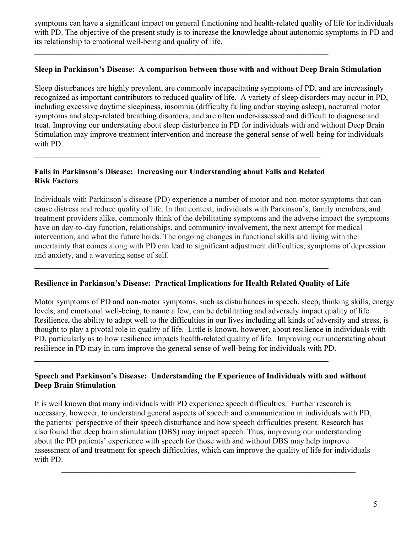symptoms can have a significant impact on general functioning and health-related quality of life for individuals with PD. The objective of the present study is to increase the knowledge about autonomic symptoms in PD and its relationship to emotional well-being and quality of life.

#### Sleep in Parkinson's Disease: A comparison between those with and without Deep Brain Stimulation

Sleep disturbances are highly prevalent, are commonly incapacitating symptoms of PD, and are increasingly recognized as important contributors to reduced quality of life. A variety of sleep disorders may occur in PD, including excessive daytime sleepiness, insomnia (difficulty falling and/or staying asleep), nocturnal motor symptoms and sleep-related breathing disorders, and are often under-assessed and difficult to diagnose and treat. Improving our understating about sleep disturbance in PD for individuals with and without Deep Brain Stimulation may improve treatment intervention and increase the general sense of well-being for individuals with PD.

# Falls in Parkinson's Disease: Increasing our Understanding about Falls and Related Risk Factors

 $\_$ 

 $\_$ 

Individuals with Parkinson's disease (PD) experience a number of motor and non-motor symptoms that can cause distress and reduce quality of life. In that context, individuals with Parkinson's, family members, and treatment providers alike, commonly think of the debilitating symptoms and the adverse impact the symptoms have on day-to-day function, relationships, and community involvement, the next attempt for medical intervention, and what the future holds. The ongoing changes in functional skills and living with the uncertainty that comes along with PD can lead to significant adjustment difficulties, symptoms of depression and anxiety, and a wavering sense of self.

## Resilience in Parkinson's Disease: Practical Implications for Health Related Quality of Life

 $\mathcal{L}_\text{max} = \mathcal{L}_\text{max} = \mathcal{L}_\text{max} = \mathcal{L}_\text{max} = \mathcal{L}_\text{max} = \mathcal{L}_\text{max} = \mathcal{L}_\text{max} = \mathcal{L}_\text{max} = \mathcal{L}_\text{max} = \mathcal{L}_\text{max} = \mathcal{L}_\text{max} = \mathcal{L}_\text{max} = \mathcal{L}_\text{max} = \mathcal{L}_\text{max} = \mathcal{L}_\text{max} = \mathcal{L}_\text{max} = \mathcal{L}_\text{max} = \mathcal{L}_\text{max} = \mathcal{$ 

 $\mathcal{L}_\text{max} = \mathcal{L}_\text{max} = \mathcal{L}_\text{max} = \mathcal{L}_\text{max} = \mathcal{L}_\text{max} = \mathcal{L}_\text{max} = \mathcal{L}_\text{max} = \mathcal{L}_\text{max} = \mathcal{L}_\text{max} = \mathcal{L}_\text{max} = \mathcal{L}_\text{max} = \mathcal{L}_\text{max} = \mathcal{L}_\text{max} = \mathcal{L}_\text{max} = \mathcal{L}_\text{max} = \mathcal{L}_\text{max} = \mathcal{L}_\text{max} = \mathcal{L}_\text{max} = \mathcal{$ 

Motor symptoms of PD and non-motor symptoms, such as disturbances in speech, sleep, thinking skills, energy levels, and emotional well-being, to name a few, can be debilitating and adversely impact quality of life. Resilience, the ability to adapt well to the difficulties in our lives including all kinds of adversity and stress, is thought to play a pivotal role in quality of life. Little is known, however, about resilience in individuals with PD, particularly as to how resilience impacts health-related quality of life. Improving our understating about resilience in PD may in turn improve the general sense of well-being for individuals with PD.

## Speech and Parkinson's Disease: Understanding the Experience of Individuals with and without Deep Brain Stimulation

It is well known that many individuals with PD experience speech difficulties. Further research is necessary, however, to understand general aspects of speech and communication in individuals with PD, the patients' perspective of their speech disturbance and how speech difficulties present. Research has also found that deep brain stimulation (DBS) may impact speech. Thus, improving our understanding about the PD patients' experience with speech for those with and without DBS may help improve assessment of and treatment for speech difficulties, which can improve the quality of life for individuals with PD.

 $\_$  , and the contribution of the contribution of  $\mathcal{L}_\mathcal{A}$  , and the contribution of  $\mathcal{L}_\mathcal{A}$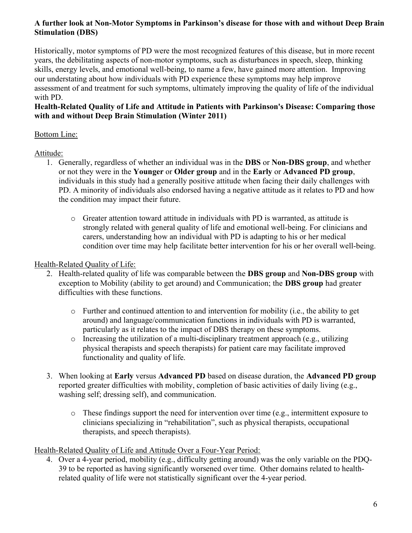# A further look at Non-Motor Symptoms in Parkinson's disease for those with and without Deep Brain Stimulation (DBS)

Historically, motor symptoms of PD were the most recognized features of this disease, but in more recent years, the debilitating aspects of non-motor symptoms, such as disturbances in speech, sleep, thinking skills, energy levels, and emotional well-being, to name a few, have gained more attention. Improving our understating about how individuals with PD experience these symptoms may help improve assessment of and treatment for such symptoms, ultimately improving the quality of life of the individual with PD.

# Health-Related Quality of Life and Attitude in Patients with Parkinson's Disease: Comparing those with and without Deep Brain Stimulation (Winter 2011)

# Bottom Line:

# Attitude:

- 1. Generally, regardless of whether an individual was in the DBS or Non-DBS group, and whether or not they were in the Younger or Older group and in the Early or Advanced PD group, individuals in this study had a generally positive attitude when facing their daily challenges with PD. A minority of individuals also endorsed having a negative attitude as it relates to PD and how the condition may impact their future.
	- o Greater attention toward attitude in individuals with PD is warranted, as attitude is strongly related with general quality of life and emotional well-being. For clinicians and carers, understanding how an individual with PD is adapting to his or her medical condition over time may help facilitate better intervention for his or her overall well-being.

# Health-Related Quality of Life:

- 2. Health-related quality of life was comparable between the **DBS group** and **Non-DBS group** with exception to Mobility (ability to get around) and Communication; the DBS group had greater difficulties with these functions.
	- o Further and continued attention to and intervention for mobility (i.e., the ability to get around) and language/communication functions in individuals with PD is warranted, particularly as it relates to the impact of DBS therapy on these symptoms.
	- $\circ$  Increasing the utilization of a multi-disciplinary treatment approach (e.g., utilizing physical therapists and speech therapists) for patient care may facilitate improved functionality and quality of life.
- 3. When looking at Early versus Advanced PD based on disease duration, the Advanced PD group reported greater difficulties with mobility, completion of basic activities of daily living (e.g., washing self; dressing self), and communication.
	- o These findings support the need for intervention over time (e.g., intermittent exposure to clinicians specializing in "rehabilitation", such as physical therapists, occupational therapists, and speech therapists).

# Health-Related Quality of Life and Attitude Over a Four-Year Period:

4. Over a 4-year period, mobility (e.g., difficulty getting around) was the only variable on the PDQ-39 to be reported as having significantly worsened over time. Other domains related to healthrelated quality of life were not statistically significant over the 4-year period.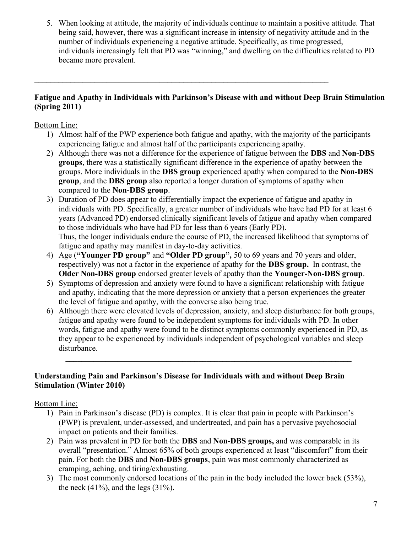5. When looking at attitude, the majority of individuals continue to maintain a positive attitude. That being said, however, there was a significant increase in intensity of negativity attitude and in the number of individuals experiencing a negative attitude. Specifically, as time progressed, individuals increasingly felt that PD was "winning," and dwelling on the difficulties related to PD became more prevalent.

# Fatigue and Apathy in Individuals with Parkinson's Disease with and without Deep Brain Stimulation (Spring 2011)

 $\mathcal{L}_\text{max} = \mathcal{L}_\text{max} = \mathcal{L}_\text{max} = \mathcal{L}_\text{max} = \mathcal{L}_\text{max} = \mathcal{L}_\text{max} = \mathcal{L}_\text{max} = \mathcal{L}_\text{max} = \mathcal{L}_\text{max} = \mathcal{L}_\text{max} = \mathcal{L}_\text{max} = \mathcal{L}_\text{max} = \mathcal{L}_\text{max} = \mathcal{L}_\text{max} = \mathcal{L}_\text{max} = \mathcal{L}_\text{max} = \mathcal{L}_\text{max} = \mathcal{L}_\text{max} = \mathcal{$ 

Bottom Line:

- 1) Almost half of the PWP experience both fatigue and apathy, with the majority of the participants experiencing fatigue and almost half of the participants experiencing apathy.
- 2) Although there was not a difference for the experience of fatigue between the DBS and Non-DBS groups, there was a statistically significant difference in the experience of apathy between the groups. More individuals in the DBS group experienced apathy when compared to the Non-DBS group, and the DBS group also reported a longer duration of symptoms of apathy when compared to the Non-DBS group.
- 3) Duration of PD does appear to differentially impact the experience of fatigue and apathy in individuals with PD. Specifically, a greater number of individuals who have had PD for at least 6 years (Advanced PD) endorsed clinically significant levels of fatigue and apathy when compared to those individuals who have had PD for less than 6 years (Early PD). Thus, the longer individuals endure the course of PD, the increased likelihood that symptoms of fatigue and apathy may manifest in day-to-day activities.
- 4) Age ("Younger PD group" and "Older PD group", 50 to 69 years and 70 years and older, respectively) was not a factor in the experience of apathy for the DBS group. In contrast, the Older Non-DBS group endorsed greater levels of apathy than the Younger-Non-DBS group.
- 5) Symptoms of depression and anxiety were found to have a significant relationship with fatigue and apathy, indicating that the more depression or anxiety that a person experiences the greater the level of fatigue and apathy, with the converse also being true.
- 6) Although there were elevated levels of depression, anxiety, and sleep disturbance for both groups, fatigue and apathy were found to be independent symptoms for individuals with PD. In other words, fatigue and apathy were found to be distinct symptoms commonly experienced in PD, as they appear to be experienced by individuals independent of psychological variables and sleep disturbance.

 $\mathcal{L}_\text{max} = \mathcal{L}_\text{max} = \mathcal{L}_\text{max} = \mathcal{L}_\text{max} = \mathcal{L}_\text{max} = \mathcal{L}_\text{max} = \mathcal{L}_\text{max} = \mathcal{L}_\text{max} = \mathcal{L}_\text{max} = \mathcal{L}_\text{max} = \mathcal{L}_\text{max} = \mathcal{L}_\text{max} = \mathcal{L}_\text{max} = \mathcal{L}_\text{max} = \mathcal{L}_\text{max} = \mathcal{L}_\text{max} = \mathcal{L}_\text{max} = \mathcal{L}_\text{max} = \mathcal{$ 

# Understanding Pain and Parkinson's Disease for Individuals with and without Deep Brain Stimulation (Winter 2010)

- 1) Pain in Parkinson's disease (PD) is complex. It is clear that pain in people with Parkinson's (PWP) is prevalent, under-assessed, and undertreated, and pain has a pervasive psychosocial impact on patients and their families.
- 2) Pain was prevalent in PD for both the DBS and Non-DBS groups, and was comparable in its overall "presentation." Almost 65% of both groups experienced at least "discomfort" from their pain. For both the DBS and Non-DBS groups, pain was most commonly characterized as cramping, aching, and tiring/exhausting.
- 3) The most commonly endorsed locations of the pain in the body included the lower back (53%), the neck  $(41\%)$ , and the legs  $(31\%)$ .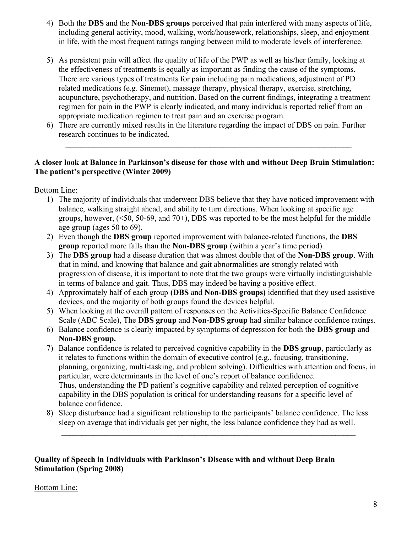- 4) Both the DBS and the Non-DBS groups perceived that pain interfered with many aspects of life, including general activity, mood, walking, work/housework, relationships, sleep, and enjoyment in life, with the most frequent ratings ranging between mild to moderate levels of interference.
- 5) As persistent pain will affect the quality of life of the PWP as well as his/her family, looking at the effectiveness of treatments is equally as important as finding the cause of the symptoms. There are various types of treatments for pain including pain medications, adjustment of PD related medications (e.g. Sinemet), massage therapy, physical therapy, exercise, stretching, acupuncture, psychotherapy, and nutrition. Based on the current findings, integrating a treatment regimen for pain in the PWP is clearly indicated, and many individuals reported relief from an appropriate medication regimen to treat pain and an exercise program.
- 6) There are currently mixed results in the literature regarding the impact of DBS on pain. Further research continues to be indicated.

 $\_$  , and the set of the set of the set of the set of the set of the set of the set of the set of the set of the set of the set of the set of the set of the set of the set of the set of the set of the set of the set of th

# A closer look at Balance in Parkinson's disease for those with and without Deep Brain Stimulation: The patient's perspective (Winter 2009)

Bottom Line:

- 1) The majority of individuals that underwent DBS believe that they have noticed improvement with balance, walking straight ahead, and ability to turn directions. When looking at specific age groups, however,  $(\leq 50, 50-69, \text{ and } 70+)$ , DBS was reported to be the most helpful for the middle age group (ages 50 to 69).
- 2) Even though the DBS group reported improvement with balance-related functions, the DBS group reported more falls than the Non-DBS group (within a year's time period).
- 3) The DBS group had a disease duration that was almost double that of the Non-DBS group. With that in mind, and knowing that balance and gait abnormalities are strongly related with progression of disease, it is important to note that the two groups were virtually indistinguishable in terms of balance and gait. Thus, DBS may indeed be having a positive effect.
- 4) Approximately half of each group (DBS and Non-DBS groups) identified that they used assistive devices, and the majority of both groups found the devices helpful.
- 5) When looking at the overall pattern of responses on the Activities-Specific Balance Confidence Scale (ABC Scale), The **DBS group** and **Non-DBS group** had similar balance confidence ratings.
- 6) Balance confidence is clearly impacted by symptoms of depression for both the DBS group and Non-DBS group.
- 7) Balance confidence is related to perceived cognitive capability in the DBS group, particularly as it relates to functions within the domain of executive control (e.g., focusing, transitioning, planning, organizing, multi-tasking, and problem solving). Difficulties with attention and focus, in particular, were determinants in the level of one's report of balance confidence. Thus, understanding the PD patient's cognitive capability and related perception of cognitive capability in the DBS population is critical for understanding reasons for a specific level of balance confidence.
- 8) Sleep disturbance had a significant relationship to the participants' balance confidence. The less sleep on average that individuals get per night, the less balance confidence they had as well.

\_\_\_\_\_\_\_\_\_\_\_\_\_\_\_\_\_\_\_\_\_\_\_\_\_\_\_\_\_\_\_\_\_\_\_\_\_\_\_\_\_\_\_\_\_\_\_\_\_\_\_\_\_\_\_\_\_\_\_\_\_\_\_\_\_\_\_\_\_\_\_\_\_

## Quality of Speech in Individuals with Parkinson's Disease with and without Deep Brain Stimulation (Spring 2008)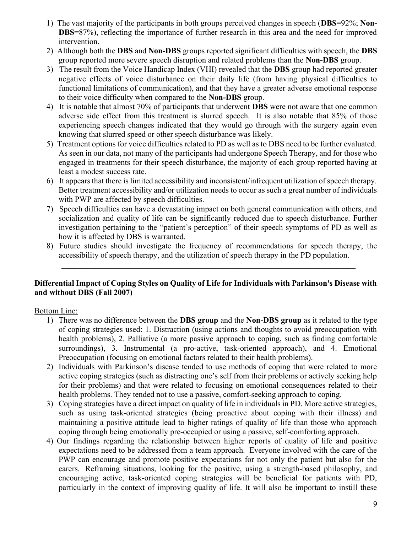- 1) The vast majority of the participants in both groups perceived changes in speech (DBS=92%; Non-DBS=87%), reflecting the importance of further research in this area and the need for improved intervention.
- 2) Although both the DBS and Non-DBS groups reported significant difficulties with speech, the DBS group reported more severe speech disruption and related problems than the Non-DBS group.
- 3) The result from the Voice Handicap Index (VHI) revealed that the DBS group had reported greater negative effects of voice disturbance on their daily life (from having physical difficulties to functional limitations of communication), and that they have a greater adverse emotional response to their voice difficulty when compared to the Non-DBS group.
- 4) It is notable that almost 70% of participants that underwent DBS were not aware that one common adverse side effect from this treatment is slurred speech. It is also notable that 85% of those experiencing speech changes indicated that they would go through with the surgery again even knowing that slurred speed or other speech disturbance was likely.
- 5) Treatment options for voice difficulties related to PD as well as to DBS need to be further evaluated. As seen in our data, not many of the participants had undergone Speech Therapy, and for those who engaged in treatments for their speech disturbance, the majority of each group reported having at least a modest success rate.
- 6) It appears that there is limited accessibility and inconsistent/infrequent utilization of speech therapy. Better treatment accessibility and/or utilization needs to occur as such a great number of individuals with PWP are affected by speech difficulties.
- 7) Speech difficulties can have a devastating impact on both general communication with others, and socialization and quality of life can be significantly reduced due to speech disturbance. Further investigation pertaining to the "patient's perception" of their speech symptoms of PD as well as how it is affected by DBS is warranted.
- 8) Future studies should investigate the frequency of recommendations for speech therapy, the accessibility of speech therapy, and the utilization of speech therapy in the PD population.

 $\mathcal{L}_\text{max} = \mathcal{L}_\text{max} = \mathcal{L}_\text{max} = \mathcal{L}_\text{max} = \mathcal{L}_\text{max} = \mathcal{L}_\text{max} = \mathcal{L}_\text{max} = \mathcal{L}_\text{max} = \mathcal{L}_\text{max} = \mathcal{L}_\text{max} = \mathcal{L}_\text{max} = \mathcal{L}_\text{max} = \mathcal{L}_\text{max} = \mathcal{L}_\text{max} = \mathcal{L}_\text{max} = \mathcal{L}_\text{max} = \mathcal{L}_\text{max} = \mathcal{L}_\text{max} = \mathcal{$ 

## Differential Impact of Coping Styles on Quality of Life for Individuals with Parkinson's Disease with and without DBS (Fall 2007)

- 1) There was no difference between the DBS group and the Non-DBS group as it related to the type of coping strategies used: 1. Distraction (using actions and thoughts to avoid preoccupation with health problems), 2. Palliative (a more passive approach to coping, such as finding comfortable surroundings), 3. Instrumental (a pro-active, task-oriented approach), and 4. Emotional Preoccupation (focusing on emotional factors related to their health problems).
- 2) Individuals with Parkinson's disease tended to use methods of coping that were related to more active coping strategies (such as distracting one's self from their problems or actively seeking help for their problems) and that were related to focusing on emotional consequences related to their health problems. They tended not to use a passive, comfort-seeking approach to coping.
- 3) Coping strategies have a direct impact on quality of life in individuals in PD. More active strategies, such as using task-oriented strategies (being proactive about coping with their illness) and maintaining a positive attitude lead to higher ratings of quality of life than those who approach coping through being emotionally pre-occupied or using a passive, self-comforting approach.
- 4) Our findings regarding the relationship between higher reports of quality of life and positive expectations need to be addressed from a team approach. Everyone involved with the care of the PWP can encourage and promote positive expectations for not only the patient but also for the carers. Reframing situations, looking for the positive, using a strength-based philosophy, and encouraging active, task-oriented coping strategies will be beneficial for patients with PD, particularly in the context of improving quality of life. It will also be important to instill these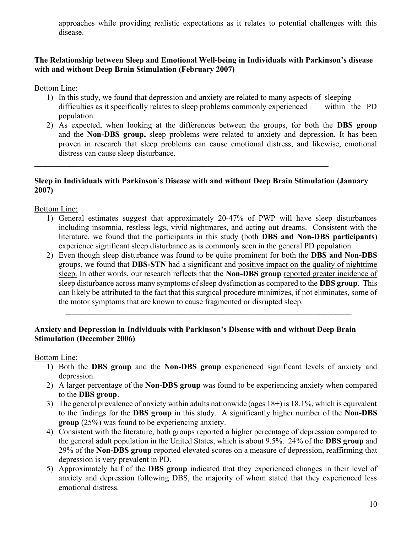approaches while providing realistic expectations as it relates to potential challenges with this disease.

# The Relationship between Sleep and Emotional Well-being in Individuals with Parkinson's disease with and without Deep Brain Stimulation (February 2007)

Bottom Line:

- 1) In this study, we found that depression and anxiety are related to many aspects of sleeping difficulties as it specifically relates to sleep problems commonly experienced within the PD population.
- 2) As expected, when looking at the differences between the groups, for both the DBS group and the Non-DBS group, sleep problems were related to anxiety and depression. It has been proven in research that sleep problems can cause emotional distress, and likewise, emotional distress can cause sleep disturbance.

#### Sleep in Individuals with Parkinson's Disease with and without Deep Brain Stimulation (January 2007)

 $\mathcal{L}_\text{max} = \mathcal{L}_\text{max} = \mathcal{L}_\text{max} = \mathcal{L}_\text{max} = \mathcal{L}_\text{max} = \mathcal{L}_\text{max} = \mathcal{L}_\text{max} = \mathcal{L}_\text{max} = \mathcal{L}_\text{max} = \mathcal{L}_\text{max} = \mathcal{L}_\text{max} = \mathcal{L}_\text{max} = \mathcal{L}_\text{max} = \mathcal{L}_\text{max} = \mathcal{L}_\text{max} = \mathcal{L}_\text{max} = \mathcal{L}_\text{max} = \mathcal{L}_\text{max} = \mathcal{$ 

Bottom Line:

- 1) General estimates suggest that approximately 20-47% of PWP will have sleep disturbances including insomnia, restless legs, vivid nightmares, and acting out dreams. Consistent with the literature, we found that the participants in this study (both DBS and Non-DBS participants) experience significant sleep disturbance as is commonly seen in the general PD population
- 2) Even though sleep disturbance was found to be quite prominent for both the DBS and Non-DBS groups, we found that DBS-STN had a significant and positive impact on the quality of nighttime sleep. In other words, our research reflects that the Non-DBS group reported greater incidence of sleep disturbance across many symptoms of sleep dysfunction as compared to the DBS group. This can likely be attributed to the fact that this surgical procedure minimizes, if not eliminates, some of the motor symptoms that are known to cause fragmented or disrupted sleep.

 $\mathcal{L}_\text{max} = \mathcal{L}_\text{max} = \mathcal{L}_\text{max} = \mathcal{L}_\text{max} = \mathcal{L}_\text{max} = \mathcal{L}_\text{max} = \mathcal{L}_\text{max} = \mathcal{L}_\text{max} = \mathcal{L}_\text{max} = \mathcal{L}_\text{max} = \mathcal{L}_\text{max} = \mathcal{L}_\text{max} = \mathcal{L}_\text{max} = \mathcal{L}_\text{max} = \mathcal{L}_\text{max} = \mathcal{L}_\text{max} = \mathcal{L}_\text{max} = \mathcal{L}_\text{max} = \mathcal{$ 

## Anxiety and Depression in Individuals with Parkinson's Disease with and without Deep Brain Stimulation (December 2006)

- 1) Both the DBS group and the Non-DBS group experienced significant levels of anxiety and depression.
- 2) A larger percentage of the Non-DBS group was found to be experiencing anxiety when compared to the DBS group.
- 3) The general prevalence of anxiety within adults nationwide (ages 18+) is 18.1%, which is equivalent to the findings for the DBS group in this study. A significantly higher number of the Non-DBS group (25%) was found to be experiencing anxiety.
- 4) Consistent with the literature, both groups reported a higher percentage of depression compared to the general adult population in the United States, which is about 9.5%. 24% of the DBS group and 29% of the Non-DBS group reported elevated scores on a measure of depression, reaffirming that depression is very prevalent in PD.
- 5) Approximately half of the DBS group indicated that they experienced changes in their level of anxiety and depression following DBS, the majority of whom stated that they experienced less emotional distress.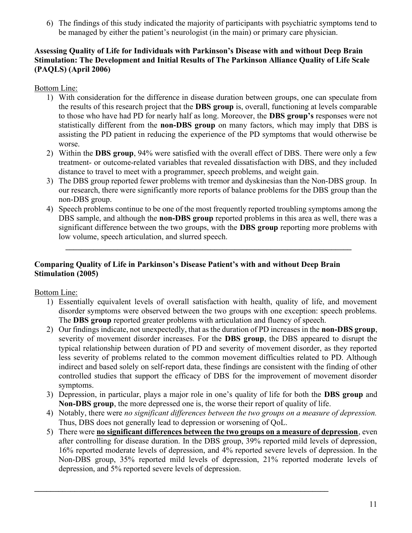6) The findings of this study indicated the majority of participants with psychiatric symptoms tend to be managed by either the patient's neurologist (in the main) or primary care physician.

## Assessing Quality of Life for Individuals with Parkinson's Disease with and without Deep Brain Stimulation: The Development and Initial Results of The Parkinson Alliance Quality of Life Scale (PAQLS) (April 2006)

# Bottom Line:

- 1) With consideration for the difference in disease duration between groups, one can speculate from the results of this research project that the DBS group is, overall, functioning at levels comparable to those who have had PD for nearly half as long. Moreover, the DBS group's responses were not statistically different from the non-DBS group on many factors, which may imply that DBS is assisting the PD patient in reducing the experience of the PD symptoms that would otherwise be worse.
- 2) Within the DBS group, 94% were satisfied with the overall effect of DBS. There were only a few treatment- or outcome-related variables that revealed dissatisfaction with DBS, and they included distance to travel to meet with a programmer, speech problems, and weight gain.
- 3) The DBS group reported fewer problems with tremor and dyskinesias than the Non-DBS group. In our research, there were significantly more reports of balance problems for the DBS group than the non-DBS group.
- 4) Speech problems continue to be one of the most frequently reported troubling symptoms among the DBS sample, and although the **non-DBS** group reported problems in this area as well, there was a significant difference between the two groups, with the **DBS** group reporting more problems with low volume, speech articulation, and slurred speech.

 $\_$  , and the set of the set of the set of the set of the set of the set of the set of the set of the set of the set of the set of the set of the set of the set of the set of the set of the set of the set of the set of th

# Comparing Quality of Life in Parkinson's Disease Patient's with and without Deep Brain Stimulation (2005)

# Bottom Line:

- 1) Essentially equivalent levels of overall satisfaction with health, quality of life, and movement disorder symptoms were observed between the two groups with one exception: speech problems. The DBS group reported greater problems with articulation and fluency of speech.
- 2) Our findings indicate, not unexpectedly, that as the duration of PD increases in the non-DBS group, severity of movement disorder increases. For the DBS group, the DBS appeared to disrupt the typical relationship between duration of PD and severity of movement disorder, as they reported less severity of problems related to the common movement difficulties related to PD. Although indirect and based solely on self-report data, these findings are consistent with the finding of other controlled studies that support the efficacy of DBS for the improvement of movement disorder symptoms.
- 3) Depression, in particular, plays a major role in one's quality of life for both the **DBS group** and Non-DBS group, the more depressed one is, the worse their report of quality of life.
- 4) Notably, there were no significant differences between the two groups on a measure of depression. Thus, DBS does not generally lead to depression or worsening of QoL.
- 5) There were no significant differences between the two groups on a measure of depression, even after controlling for disease duration. In the DBS group, 39% reported mild levels of depression, 16% reported moderate levels of depression, and 4% reported severe levels of depression. In the Non-DBS group, 35% reported mild levels of depression, 21% reported moderate levels of depression, and 5% reported severe levels of depression.

 $\mathcal{L}_\text{max} = \mathcal{L}_\text{max} = \mathcal{L}_\text{max} = \mathcal{L}_\text{max} = \mathcal{L}_\text{max} = \mathcal{L}_\text{max} = \mathcal{L}_\text{max} = \mathcal{L}_\text{max} = \mathcal{L}_\text{max} = \mathcal{L}_\text{max} = \mathcal{L}_\text{max} = \mathcal{L}_\text{max} = \mathcal{L}_\text{max} = \mathcal{L}_\text{max} = \mathcal{L}_\text{max} = \mathcal{L}_\text{max} = \mathcal{L}_\text{max} = \mathcal{L}_\text{max} = \mathcal{$